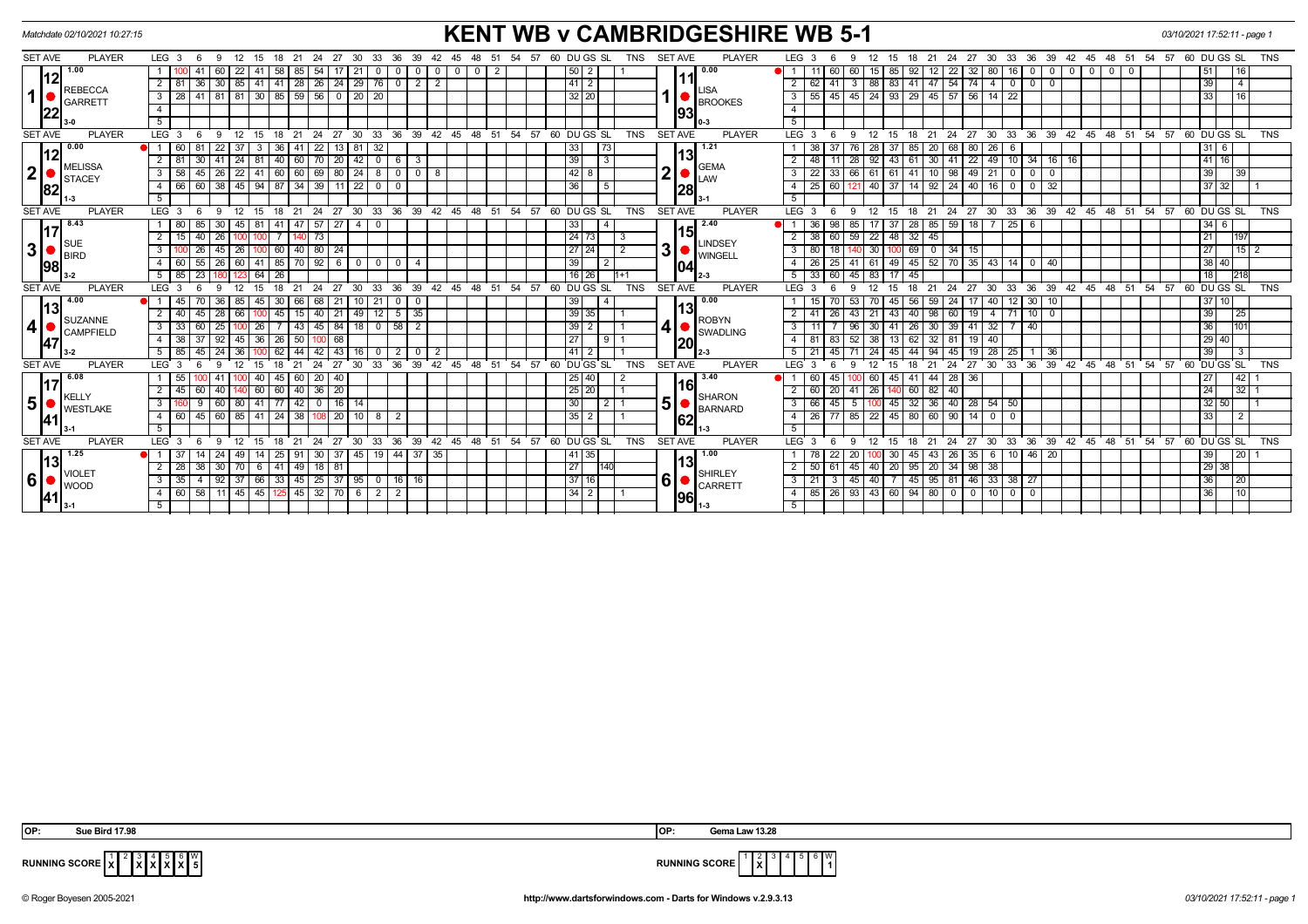|                | <b>KENT WB v CAMBRIDGESHIRE WB 5-1</b><br>Matchdate 02/10/2021 10:27:15 |  |                  |                                   |                                         |                        |               |               |                 |                      |               |                 |                                |                |                | 03/10/2021 17:52:11 - page 1 |                        |    |       |                |             |                         |                            |            |                |                |                     |                  |                         |             |                    |                       |      |                                                       |                      |                 |                  |                          |                            |                                 |                 |                   |          |                               |                 |                |                        |  |  |
|----------------|-------------------------------------------------------------------------|--|------------------|-----------------------------------|-----------------------------------------|------------------------|---------------|---------------|-----------------|----------------------|---------------|-----------------|--------------------------------|----------------|----------------|------------------------------|------------------------|----|-------|----------------|-------------|-------------------------|----------------------------|------------|----------------|----------------|---------------------|------------------|-------------------------|-------------|--------------------|-----------------------|------|-------------------------------------------------------|----------------------|-----------------|------------------|--------------------------|----------------------------|---------------------------------|-----------------|-------------------|----------|-------------------------------|-----------------|----------------|------------------------|--|--|
| <b>SET AVE</b> | <b>PLAYER</b>                                                           |  | LEG <sub>3</sub> | - 6                               |                                         | -9                     | 12 15         | - 18          | - 21            | -24                  | - 27          | 30.             | 33<br>-36                      |                |                | -45                          | 48                     | 51 | 54    | -57            |             | 60 DU GS SL             |                            | TNS        | <b>SET AVE</b> |                | <b>PLAYER</b>       |                  | LEG <sub>3</sub>        |             |                    | 15                    | 18   | -21                                                   | - 27<br>24           | 30              | 33               | - 36<br>39               |                            | 42 45                           | 48 51           |                   |          | 54 57 60 DU GS SL             |                 |                | <b>TNS</b>             |  |  |
|                | 1.00                                                                    |  |                  |                                   |                                         | 22                     |               | 58            | 85              | 54                   |               | 21              | $\Omega$                       |                | $\mathbf{0}$   | 0                            |                        | 2  |       |                |             | 50 <br>-2               |                            |            |                |                | 0.00                |                  |                         | 60          | -60                | 85<br>15 I            | 92   |                                                       | 22<br>32             | 80              | 16               |                          | $\mathbf 0$                | - 0                             |                 | $\Omega$          |          |                               | 51              |                | 16                     |  |  |
|                | <b>REBECCA</b>                                                          |  | $2 \mid 81$      |                                   | 36 I                                    | 30   85   41           |               | 41            |                 | 28   26   24         |               | 29 76           | $\overline{0}$                 | 2 I            | $\overline{2}$ |                              |                        |    |       |                |             | 41 2                    |                            |            |                | 11             | <b>LISA</b>         | 2                | 62                      | 41          |                    |                       |      | 3 88 83 41 47 54 74                                   |                      | 4 I             | $\mathbf 0$      | $^{\circ}$               |                            |                                 |                 |                   |          |                               | 39              |                | $\overline{4}$         |  |  |
| 1              | <b>GARRETT</b>                                                          |  | 3                | - 28 I                            |                                         | 41 81 81 30 85 59 56 0 |               |               |                 |                      |               | 20 20           |                                |                |                |                              |                        |    |       |                |             | 32 20                   |                            |            |                |                | <b>BROOKES</b>      | 3                | 55                      | 45          |                    |                       |      | 45   24   93   29   45   57   56   14   22            |                      |                 |                  |                          |                            |                                 |                 |                   |          |                               | 33 I            |                | 16                     |  |  |
|                | 22                                                                      |  | 4                |                                   |                                         |                        |               |               |                 |                      |               |                 |                                |                |                |                              |                        |    |       |                |             |                         |                            |            |                | 1931           |                     |                  |                         |             |                    |                       |      |                                                       |                      |                 |                  |                          |                            |                                 |                 |                   |          |                               |                 |                |                        |  |  |
|                |                                                                         |  | 5                |                                   |                                         |                        |               |               |                 |                      |               |                 |                                |                |                |                              |                        |    |       |                |             |                         |                            |            |                |                |                     | 5                |                         |             |                    |                       |      |                                                       |                      |                 |                  |                          |                            |                                 |                 |                   |          |                               |                 |                |                        |  |  |
| <b>SET AVE</b> | <b>PLAYER</b>                                                           |  | $LEG$ 3          |                                   |                                         |                        |               |               |                 |                      | 27            | 30              | 36<br>33                       | 39             | $42^{\circ}$   | $45^{\circ}$                 | 48 51                  |    | 54    | 57             |             | 60 DUGS SL              |                            | <b>TNS</b> | <b>SET AVE</b> |                | <b>PLAYER</b>       | LEG <sub>3</sub> |                         |             |                    |                       |      | 21                                                    | 24<br>27             | 30              | 33               | ີ 39<br>36               | 42                         | 45                              | 48              | 51                | 54.57    |                               | $60$ DU $GS$ SL |                | <b>TNS</b>             |  |  |
|                | 0.00                                                                    |  |                  | -60                               |                                         | 22<br>-37              |               | 36            |                 | 22                   | 13            |                 | 32                             |                |                |                              |                        |    |       |                | 33          |                         | 73                         |            |                |                | 1.21                |                  |                         |             |                    |                       |      | 20                                                    | 68<br>80             | -26             | 6                |                          |                            |                                 |                 |                   |          |                               | $31 \mid 6$     |                |                        |  |  |
|                | <b>MELISSA</b>                                                          |  | $2$ 81           |                                   | 30                                      | 41                     | $24 \mid 81$  |               |                 | 40 60 70 20          |               |                 |                                | $6 \mid 3$     |                |                              |                        |    |       |                | 39          |                         | $\sqrt{3}$                 |            |                | 13             | <b>GEMA</b>         | $\overline{2}$   | 48                      | 11          | 28                 | $-43$<br>-92 I        |      |                                                       |                      |                 |                  |                          | 61 30 41 22 49 10 34 16 16 |                                 |                 |                   |          |                               | $41$ 16         |                |                        |  |  |
|                | $2\begin{vmatrix} 2 \\ 82 \end{vmatrix}$<br><b>STACEY</b>               |  | 3 <sup>1</sup>   | 58                                | 45                                      | 26                     | $22 \mid 41$  | 60            |                 | 60   69   80         |               | $24 \mid 8$     |                                | 0 0 8          |                |                              |                        |    |       |                |             | 42 <br>8                |                            |            | $\mathbf 2$    |                | <b>ILAW</b>         | 3                | 22                      | 33          | 66                 |                       |      | 61 61 41 10 98                                        |                      | $49$   21       | $\mathbf 0$      | $\mathbf{0}$<br>$\Omega$ |                            |                                 |                 |                   |          |                               | 39              | 39             |                        |  |  |
|                |                                                                         |  | 4 I              | 66                                | 60                                      | 38                     | $45 \mid 94$  | 87            |                 | 34 39 11             |               | $22$ 0          | $\mathbf{0}$                   |                |                |                              |                        |    |       |                | 36          |                         | 5                          |            |                | 28             |                     | 4                | 25 I                    | 60          | $121 \ 40$         | 37                    |      | 14 92 24                                              |                      | $40$ 16         | $\mathbf 0$      | 32<br>$\mathbf{0}$       |                            |                                 |                 |                   |          |                               | 37 32           |                |                        |  |  |
|                |                                                                         |  | 5                |                                   |                                         |                        |               |               |                 |                      |               |                 |                                |                |                |                              |                        |    |       |                |             |                         |                            |            |                |                |                     | -5               |                         |             |                    |                       |      |                                                       |                      |                 |                  |                          |                            |                                 |                 |                   |          |                               |                 |                |                        |  |  |
| <b>SET AVE</b> | <b>PLAYER</b>                                                           |  | $LEG_3$          |                                   | - 6                                     | 12<br>9                | $^{\circ}$ 15 | 18            | 21              | $^{\circ}$ 24        | $^{\circ}$ 27 |                 | 30 33 36 39 42 45 48 51        |                |                |                              |                        |    | 54    |                |             | $57^{\circ}$ 60 DUGS SL |                            | <b>TNS</b> | <b>SET AVE</b> |                | <b>PLAYER</b>       | LEG <sub>3</sub> |                         | - 6         | 12<br>$\mathbf{Q}$ | 15                    | 18   | 21                                                    | $^{\circ}$ 24<br>27  | 30 33           |                  | $36 \quad 39$            |                            | $42 \quad 45 \quad 48 \quad 51$ |                 |                   |          | $54$ $57$ $60$ $DU$ $GS$ $SL$ |                 |                | <b>TNS</b>             |  |  |
|                | 8.43                                                                    |  |                  | 1 80 85                           |                                         | 30                     | $45 \mid 81$  | 41            |                 | $47$ 57 27           |               | 4 I             | $\overline{\mathbf{0}}$        |                |                |                              |                        |    |       |                | 33          |                         | $\overline{4}$             |            |                |                | 2.40                |                  | 36                      | 98          | 85                 | -37                   |      | 28 85 59                                              | 18                   |                 | $7 \mid 25 \mid$ | - 6                      |                            |                                 |                 |                   |          |                               | $34$ 6          |                |                        |  |  |
|                |                                                                         |  | $\overline{2}$   | 15                                | 40                                      | 26                     |               |               |                 | 73                   |               |                 |                                |                |                |                              |                        |    |       |                | $\sqrt{24}$ | 73                      | $\overline{\phantom{0}}$ 3 |            |                |                | <b>LINDSEY</b>      | $\overline{2}$   | 38                      | 60          | 59                 | 48<br>22              |      | $32 \mid 45$                                          |                      |                 |                  |                          |                            |                                 |                 |                   |          |                               | 21              | 197            |                        |  |  |
| 3 (            | <b>SUE</b><br><b>BIRD</b>                                               |  | $\overline{3}$   |                                   | 26<br>45<br>$\overline{26}$<br>$100$ 60 |                        |               | $140$ 80 $24$ |                 |                      |               |                 |                                |                | $\sqrt{27}$    | 24                           | $\overline{2}$         | 3  |       | <b>WINGELL</b> | 3           | 80                      |                            |            | 30             |                | 69 0 34             | 15               |                         |             |                    |                       |      |                                                       |                      |                 |                  | 27                       |                            | $\frac{1}{15}$ 2                |                 |                   |          |                               |                 |                |                        |  |  |
|                | 98                                                                      |  |                  | $4 \overline{60}$                 |                                         |                        |               |               |                 |                      |               |                 | 55 26 60 41 85 70 92 6 0 0 0 1 |                |                |                              |                        |    |       |                |             | 39                      | $\sqrt{2}$                 |            |                | 104            |                     | $\overline{4}$   | 26 I                    |             |                    |                       |      | 25 41 61 49 45 52 70 35 43 14 0 40                    |                      |                 |                  |                          |                            |                                 |                 |                   |          |                               | $38 \mid 40$    |                |                        |  |  |
|                |                                                                         |  |                  | $5 \mid 85 \mid 23$               |                                         |                        | 64            | 126           |                 |                      |               |                 |                                |                |                |                              |                        |    |       |                |             | 16 26                   | $h+1$                      |            |                |                | 5                   | 33               | 60                      | $145$ 83 17 |                    | 45                    |      |                                                       |                      |                 |                  |                          |                            |                                 |                 |                   |          | 18 <sup>1</sup>               | 218             |                |                        |  |  |
| <b>SET AVE</b> | <b>PLAYER</b>                                                           |  | LEG <sub>3</sub> |                                   |                                         |                        |               |               |                 |                      | 27            | 30              | 36<br>33                       | 39             | 42             |                              | $45 \quad 48 \quad 51$ |    | 54.57 |                |             | 60 DU GS SL             |                            | <b>TNS</b> | <b>SET AVE</b> |                | <b>PLAYER</b>       | LEG <sub>3</sub> |                         |             |                    | 15                    |      | 21                                                    | 27<br>24             | 30 <sup>2</sup> | 33               | $36 \quad 39$            |                            |                                 |                 | 42 45 48 51 54 57 |          |                               | $60$ DU GS SL   |                | <b>TNS</b>             |  |  |
|                | 4.00<br>13                                                              |  |                  | 45                                |                                         | 36<br>85               | 45            | 30            | 66 I            | 68                   | 21            |                 | 21<br>$\mathbf 0$              |                |                |                              |                        |    |       |                | 39          |                         | $\overline{4}$             |            |                |                | $\blacksquare$ 0.00 |                  |                         |             | 53                 | 45                    | 56   |                                                       | 24                   | 40              | 12               | 30                       |                            |                                 |                 |                   |          |                               | $37$ 10         |                |                        |  |  |
|                | <b>SUZANNE</b>                                                          |  |                  | 40                                | 45                                      | 28                     |               | 45            | 15 I            | 40                   | 21            | 49              | 12                             | 5   35         |                |                              |                        |    |       |                |             | 39<br>35                |                            |            |                | 13             | <b>ROBYN</b>        |                  |                         |             | 43                 | 43                    | 40 I |                                                       | 60<br>19 I           |                 | 71               | 10 I                     |                            |                                 |                 |                   |          |                               | 39              |                | 25                     |  |  |
| 4 ≀            | <b>CAMPFIELD</b>                                                        |  | 3                | 33                                | 60                                      | 25                     | 26            |               | 43 I            | 45                   | 84            | 18 <sup>1</sup> | $\overline{0}$                 | 58             |                |                              |                        |    |       |                | 39          | $\overline{2}$          |                            |            | 4              |                | SWADLING            | 3                |                         |             |                    | 41                    | 26 I | 30                                                    | 39<br>41             | -32             |                  | 40                       |                            |                                 |                 |                   |          |                               | 36              |                |                        |  |  |
|                | <b>47</b>                                                               |  | $\overline{4}$   | 38                                |                                         | 92<br>45 l             | 36            | 26            | 50 <sub>1</sub> |                      | 68            |                 |                                |                |                |                              |                        |    |       |                | l 27        |                         | $9 \mid 1$                 |            |                | <b>120</b>     |                     | $\overline{4}$   |                         | 83          | 52                 | 38<br>13              | 62   | 32                                                    | 81<br>19             |                 |                  |                          |                            |                                 |                 |                   |          |                               | 29 40           |                |                        |  |  |
|                |                                                                         |  | 5                | 85                                |                                         | 24                     |               | 62            |                 |                      | 43            |                 | $\Omega$                       |                | $\overline{2}$ |                              |                        |    |       |                | 41          |                         |                            |            |                |                | -5                  |                  |                         |             |                    |                       |      | 45                                                    | 28                   | 25              | 36               |                          |                            |                                 |                 |                   |          | 39                            | 3               |                |                        |  |  |
| <b>SET AVE</b> | <b>PLAYER</b>                                                           |  | LEG <sub>3</sub> |                                   |                                         |                        |               |               |                 |                      | 27            | 30              | 36<br>33                       | 39             | 42             | 45                           | 48                     | 51 | 54    | 57             |             | 60 DU GS SL             |                            | <b>TNS</b> | <b>SET AVE</b> |                | <b>PLAYER</b>       | <b>LEG</b>       |                         |             |                    |                       |      |                                                       | 27<br>24             | 30              | 33               | 36<br>39                 | 42                         | 45                              | 48              | 51                | 54 57    |                               | 60 DUGS SL      |                | <b>TNS</b>             |  |  |
|                | 6.08                                                                    |  |                  | 55                                |                                         | 41                     | 40            | 45            |                 | 60 20 40             |               |                 |                                |                |                |                              |                        |    |       |                |             | 25 40                   | l 2                        |            |                |                | 3.40                |                  | 60                      | 45          |                    | 45<br>60              | 41   | 44 28                                                 | 36                   |                 |                  |                          |                            |                                 |                 |                   |          |                               | 27              |                | $\sqrt{42}$ $\sqrt{2}$ |  |  |
|                | <b>KELLY</b>                                                            |  | $\overline{2}$   | 45                                | 60                                      | 40                     | 60            | 60            |                 | $40 \mid 36 \mid 20$ |               |                 |                                |                |                |                              |                        |    |       |                |             | 25 20                   |                            |            |                |                | SHARON              | 2                | 60 l                    | 20          | 41                 | 26<br>140             |      | 60 82 40                                              |                      |                 |                  |                          |                            |                                 |                 |                   |          |                               | 24              |                | 32 1                   |  |  |
|                | 5 ●<br><b>WESTLAKE</b>                                                  |  | 3                |                                   |                                         | 60                     | 80   41       | 77            | 42 I            | $\mathbf{0}$         | 16            | 14              |                                |                |                |                              |                        |    |       |                |             | 30                      | $2 \mid 1$                 |            | 5              |                | BARNARD             | 3                | 66                      | 45          | 5                  | 45                    |      | 32 36 40 28 54 50                                     |                      |                 |                  |                          |                            |                                 |                 |                   |          |                               | 32 50           |                |                        |  |  |
|                | 41                                                                      |  | 4                | l 60 l                            | 45                                      | 60                     | 85   41       | 24            | -38 I           | $108$ 20             |               | 10   8          | $\overline{2}$                 |                |                |                              |                        |    |       |                |             | 35<br>-2                |                            |            |                | <b>62</b>      |                     |                  | 26 I                    | 77          | 85                 | 22<br>45              |      | 80 60 90                                              |                      | 1400            |                  |                          |                            |                                 |                 |                   |          |                               | 33              | $\overline{2}$ |                        |  |  |
|                |                                                                         |  | 5                |                                   |                                         |                        |               |               |                 |                      |               |                 |                                |                |                |                              |                        |    |       |                |             |                         |                            |            |                |                | l 1-3               | 5                |                         |             |                    |                       |      |                                                       |                      |                 |                  |                          |                            |                                 |                 |                   |          |                               |                 |                |                        |  |  |
| <b>SET AVE</b> | <b>PLAYER</b>                                                           |  | LEG <sub>3</sub> |                                   |                                         | ۰Q                     | 15            | 18            | 21              | 24                   | 27            | 30              | 33<br>36                       | 39             | 42             | $45^{\circ}$                 | $48^{\circ}$           | 51 | 54    | 57             | 60          | DU GS SL                |                            | <b>TNS</b> | <b>SET AVE</b> |                | <b>PLAYER</b>       | LEG <sub>3</sub> |                         |             |                    | 12 <sup>2</sup><br>15 | 18   | 21                                                    | 24<br>27             | 30              | 33               | 36<br>39                 | 42                         | 45                              | $^{\degree}$ 48 | 51                | 57<br>54 | 60                            |                 | DU GS SL       | <b>TNS</b>             |  |  |
|                | 1.25                                                                    |  |                  | -37                               |                                         | 24                     | 49 I          | 25            | 91              | 30 I                 | 37            | 45 I            | 19                             | 44 37 35       |                |                              |                        |    |       |                |             | 41 35                   |                            |            |                | 13             | 1.00                |                  |                         |             |                    | 30                    | 45   | $-43$                                                 | 26<br>35 I           | 6               | 10   46   20     |                          |                            |                                 |                 |                   |          |                               | 39              |                | 20                     |  |  |
|                | 13<br><b>VIOLET</b>                                                     |  | $\overline{2}$   | 28                                | 38                                      | 30                     | 706           | 41            |                 | $149$ 18 81          |               |                 |                                |                |                |                              |                        |    |       |                | 27          |                         | 140                        |            |                |                | SHIRLEY             | $\overline{2}$   | .50 l                   | 61          | 45 40 20           |                       |      | $95$ 20 34                                            |                      | $98$ 38         |                  |                          |                            |                                 |                 |                   |          |                               | 29 38           |                |                        |  |  |
| $6 \mid$       | <b>WOOD</b>                                                             |  |                  |                                   | 3 35 4 92 37 66 33 45 25 37 95 0 16 16  |                        |               |               |                 |                      |               |                 |                                |                |                |                              |                        |    |       |                |             |                         | 3716                       |            |                | 6 <sub>1</sub> |                     | CARRETT          | $\overline{\mathbf{3}}$ | 21 I        | $\frac{1}{3}$      | 45 40 7               |      |                                                       | 45 95 81 46 33 38 27 |                 |                  |                          |                            |                                 |                 |                   |          |                               |                 | 36             | 20                     |  |  |
|                | 141 I                                                                   |  |                  | 4 60 58 11 45 45 125 45 32 70 6 2 |                                         |                        |               |               |                 |                      |               |                 |                                | $\overline{2}$ |                |                              |                        |    |       |                |             | 34 2                    |                            |            |                | $ 96 _{1.3}$   |                     | $\overline{4}$   |                         |             |                    |                       |      | 85   26   93   43   60   94   80   0   0   10   0   0 |                      |                 |                  |                          |                            |                                 |                 |                   |          |                               | 36              |                | $\overline{10}$        |  |  |
|                |                                                                         |  | 5                |                                   |                                         |                        |               |               |                 |                      |               |                 |                                |                |                |                              |                        |    |       |                |             |                         |                            |            |                |                |                     | 5                |                         |             |                    |                       |      |                                                       |                      |                 |                  |                          |                            |                                 |                 |                   |          |                               |                 |                |                        |  |  |



**X X X** 6 **X** W



**RUNNING SCORE**  $\begin{bmatrix} 1 \\ \mathbf{X} \end{bmatrix}^2 \begin{bmatrix} 2 \\ \mathbf{X} \end{bmatrix}^3$